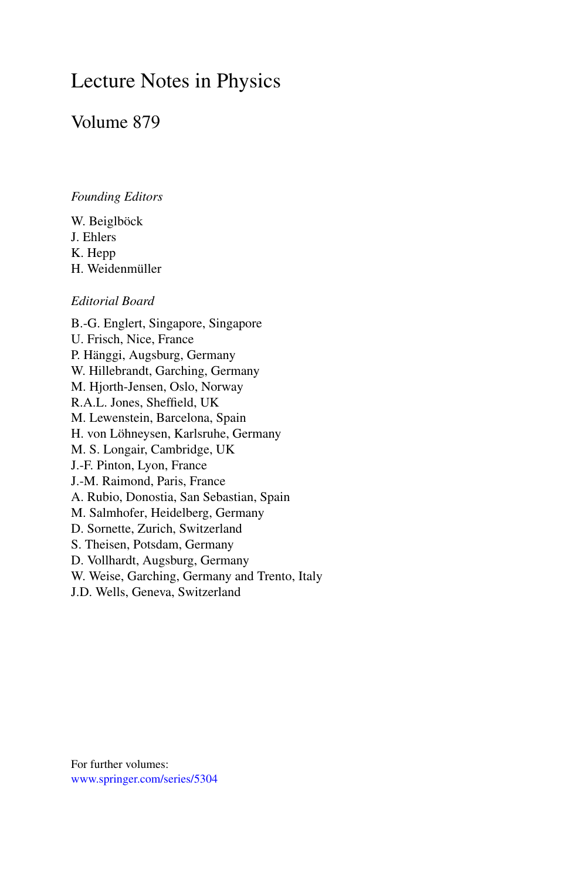## Lecture Notes in Physics

### Volume 879

### *Founding Editors*

W. Beiglböck J. Ehlers K. Hepp H. Weidenmüller

### *Editorial Board*

B.-G. Englert, Singapore, Singapore U. Frisch, Nice, France P. Hänggi, Augsburg, Germany W. Hillebrandt, Garching, Germany M. Hjorth-Jensen, Oslo, Norway R.A.L. Jones, Sheffield, UK M. Lewenstein, Barcelona, Spain H. von Löhneysen, Karlsruhe, Germany M. S. Longair, Cambridge, UK J.-F. Pinton, Lyon, France J.-M. Raimond, Paris, France A. Rubio, Donostia, San Sebastian, Spain M. Salmhofer, Heidelberg, Germany D. Sornette, Zurich, Switzerland S. Theisen, Potsdam, Germany D. Vollhardt, Augsburg, Germany W. Weise, Garching, Germany and Trento, Italy J.D. Wells, Geneva, Switzerland

For further volumes: [www.springer.com/series/5304](http://www.springer.com/series/5304)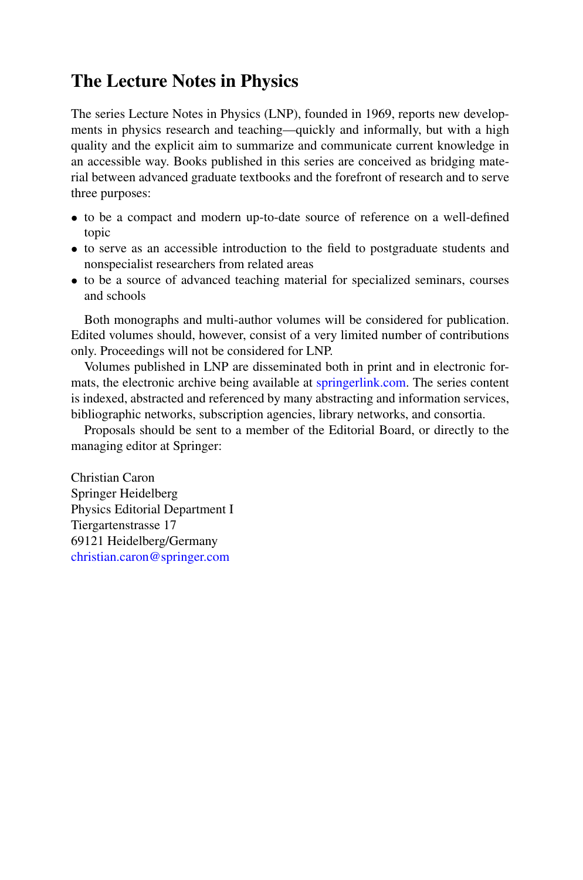## **The Lecture Notes in Physics**

The series Lecture Notes in Physics (LNP), founded in 1969, reports new developments in physics research and teaching—quickly and informally, but with a high quality and the explicit aim to summarize and communicate current knowledge in an accessible way. Books published in this series are conceived as bridging material between advanced graduate textbooks and the forefront of research and to serve three purposes:

- to be a compact and modern up-to-date source of reference on a well-defined topic
- to serve as an accessible introduction to the field to postgraduate students and nonspecialist researchers from related areas
- to be a source of advanced teaching material for specialized seminars, courses and schools

Both monographs and multi-author volumes will be considered for publication. Edited volumes should, however, consist of a very limited number of contributions only. Proceedings will not be considered for LNP.

Volumes published in LNP are disseminated both in print and in electronic formats, the electronic archive being available at [springerlink.com](http://springerlink.com). The series content is indexed, abstracted and referenced by many abstracting and information services, bibliographic networks, subscription agencies, library networks, and consortia.

Proposals should be sent to a member of the Editorial Board, or directly to the managing editor at Springer:

Christian Caron Springer Heidelberg Physics Editorial Department I Tiergartenstrasse 17 69121 Heidelberg/Germany [christian.caron@springer.com](mailto:christian.caron@springer.com)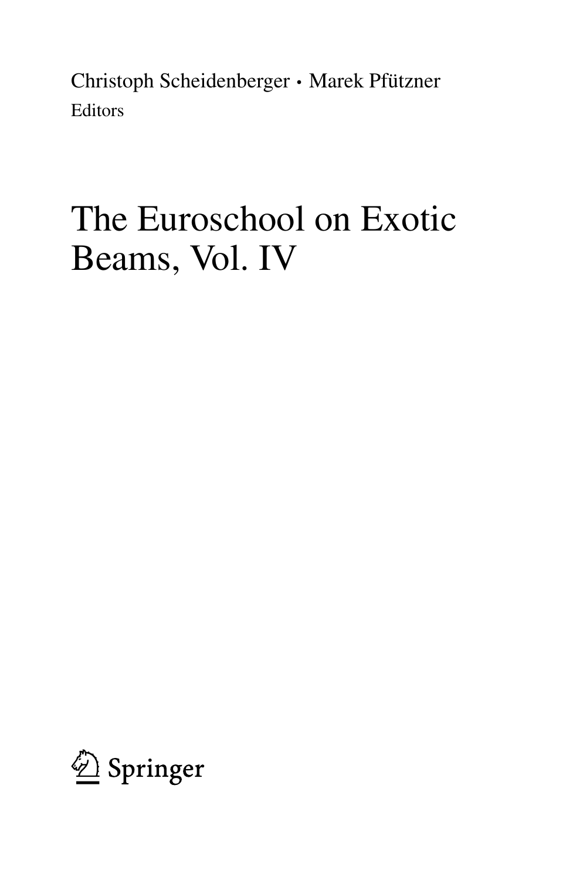Christoph Scheidenberger - Marek Pfützner Editors

# The Euroschool on Exotic Beams, Vol. IV

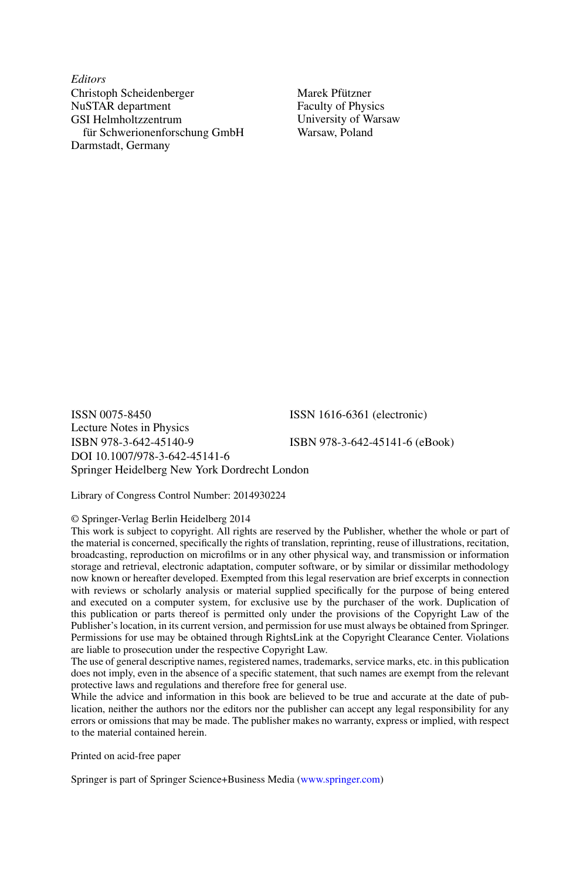*Editors* Christoph Scheidenberger NuSTAR department GSI Helmholtzzentrum für Schwerionenforschung GmbH Darmstadt, Germany

Marek Pfützner Faculty of Physics University of Warsaw Warsaw, Poland

ISSN 0075-8450 ISSN 1616-6361 (electronic) Lecture Notes in Physics ISBN 978-3-642-45140-9 ISBN 978-3-642-45141-6 (eBook) DOI 10.1007/978-3-642-45141-6 Springer Heidelberg New York Dordrecht London

Library of Congress Control Number: 2014930224

#### © Springer-Verlag Berlin Heidelberg 2014

This work is subject to copyright. All rights are reserved by the Publisher, whether the whole or part of the material is concerned, specifically the rights of translation, reprinting, reuse of illustrations, recitation, broadcasting, reproduction on microfilms or in any other physical way, and transmission or information storage and retrieval, electronic adaptation, computer software, or by similar or dissimilar methodology now known or hereafter developed. Exempted from this legal reservation are brief excerpts in connection with reviews or scholarly analysis or material supplied specifically for the purpose of being entered and executed on a computer system, for exclusive use by the purchaser of the work. Duplication of this publication or parts thereof is permitted only under the provisions of the Copyright Law of the Publisher's location, in its current version, and permission for use must always be obtained from Springer. Permissions for use may be obtained through RightsLink at the Copyright Clearance Center. Violations are liable to prosecution under the respective Copyright Law.

The use of general descriptive names, registered names, trademarks, service marks, etc. in this publication does not imply, even in the absence of a specific statement, that such names are exempt from the relevant protective laws and regulations and therefore free for general use.

While the advice and information in this book are believed to be true and accurate at the date of publication, neither the authors nor the editors nor the publisher can accept any legal responsibility for any errors or omissions that may be made. The publisher makes no warranty, express or implied, with respect to the material contained herein.

Printed on acid-free paper

Springer is part of Springer Science+Business Media ([www.springer.com\)](http://www.springer.com)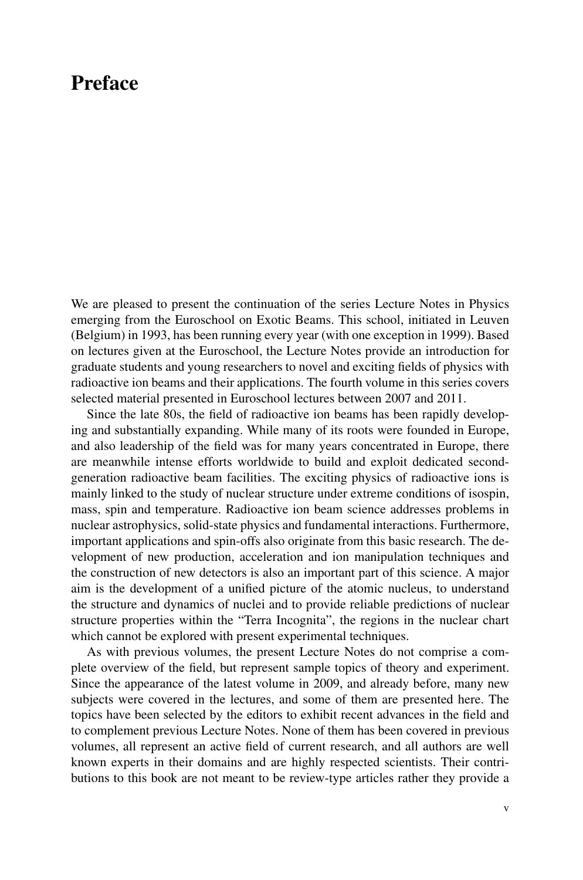## **Preface**

We are pleased to present the continuation of the series Lecture Notes in Physics emerging from the Euroschool on Exotic Beams. This school, initiated in Leuven (Belgium) in 1993, has been running every year (with one exception in 1999). Based on lectures given at the Euroschool, the Lecture Notes provide an introduction for graduate students and young researchers to novel and exciting fields of physics with radioactive ion beams and their applications. The fourth volume in this series covers selected material presented in Euroschool lectures between 2007 and 2011.

Since the late 80s, the field of radioactive ion beams has been rapidly developing and substantially expanding. While many of its roots were founded in Europe, and also leadership of the field was for many years concentrated in Europe, there are meanwhile intense efforts worldwide to build and exploit dedicated secondgeneration radioactive beam facilities. The exciting physics of radioactive ions is mainly linked to the study of nuclear structure under extreme conditions of isospin, mass, spin and temperature. Radioactive ion beam science addresses problems in nuclear astrophysics, solid-state physics and fundamental interactions. Furthermore, important applications and spin-offs also originate from this basic research. The development of new production, acceleration and ion manipulation techniques and the construction of new detectors is also an important part of this science. A major aim is the development of a unified picture of the atomic nucleus, to understand the structure and dynamics of nuclei and to provide reliable predictions of nuclear structure properties within the "Terra Incognita", the regions in the nuclear chart which cannot be explored with present experimental techniques.

As with previous volumes, the present Lecture Notes do not comprise a complete overview of the field, but represent sample topics of theory and experiment. Since the appearance of the latest volume in 2009, and already before, many new subjects were covered in the lectures, and some of them are presented here. The topics have been selected by the editors to exhibit recent advances in the field and to complement previous Lecture Notes. None of them has been covered in previous volumes, all represent an active field of current research, and all authors are well known experts in their domains and are highly respected scientists. Their contributions to this book are not meant to be review-type articles rather they provide a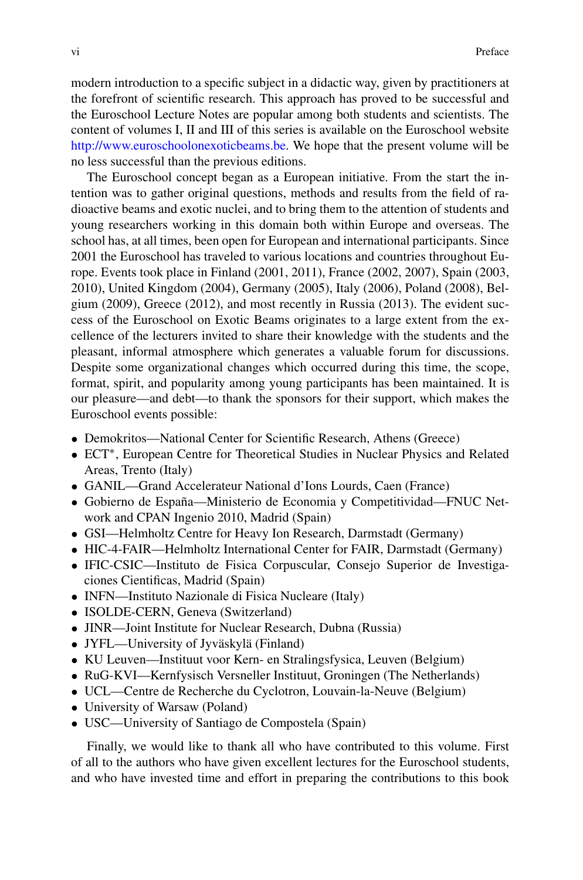modern introduction to a specific subject in a didactic way, given by practitioners at the forefront of scientific research. This approach has proved to be successful and the Euroschool Lecture Notes are popular among both students and scientists. The content of volumes I, II and III of this series is available on the Euroschool website <http://www.euroschoolonexoticbeams.be>. We hope that the present volume will be no less successful than the previous editions.

The Euroschool concept began as a European initiative. From the start the intention was to gather original questions, methods and results from the field of radioactive beams and exotic nuclei, and to bring them to the attention of students and young researchers working in this domain both within Europe and overseas. The school has, at all times, been open for European and international participants. Since 2001 the Euroschool has traveled to various locations and countries throughout Europe. Events took place in Finland (2001, 2011), France (2002, 2007), Spain (2003, 2010), United Kingdom (2004), Germany (2005), Italy (2006), Poland (2008), Belgium (2009), Greece (2012), and most recently in Russia (2013). The evident success of the Euroschool on Exotic Beams originates to a large extent from the excellence of the lecturers invited to share their knowledge with the students and the pleasant, informal atmosphere which generates a valuable forum for discussions. Despite some organizational changes which occurred during this time, the scope, format, spirit, and popularity among young participants has been maintained. It is our pleasure—and debt—to thank the sponsors for their support, which makes the Euroschool events possible:

- Demokritos—National Center for Scientific Research, Athens (Greece)
- ECT∗, European Centre for Theoretical Studies in Nuclear Physics and Related Areas, Trento (Italy)
- GANIL—Grand Accelerateur National d'Ions Lourds, Caen (France)
- Gobierno de España—Ministerio de Economia y Competitividad—FNUC Network and CPAN Ingenio 2010, Madrid (Spain)
- GSI—Helmholtz Centre for Heavy Ion Research, Darmstadt (Germany)
- HIC-4-FAIR—Helmholtz International Center for FAIR, Darmstadt (Germany)
- IFIC-CSIC—Instituto de Fisica Corpuscular, Consejo Superior de Investigaciones Cientificas, Madrid (Spain)
- INFN—Instituto Nazionale di Fisica Nucleare (Italy)
- ISOLDE-CERN, Geneva (Switzerland)
- JINR—Joint Institute for Nuclear Research, Dubna (Russia)
- JYFL—University of Jyväskylä (Finland)
- KU Leuven—Instituut voor Kern- en Stralingsfysica, Leuven (Belgium)
- RuG-KVI—Kernfysisch Versneller Instituut, Groningen (The Netherlands)
- UCL—Centre de Recherche du Cyclotron, Louvain-la-Neuve (Belgium)
- University of Warsaw (Poland)
- USC—University of Santiago de Compostela (Spain)

Finally, we would like to thank all who have contributed to this volume. First of all to the authors who have given excellent lectures for the Euroschool students, and who have invested time and effort in preparing the contributions to this book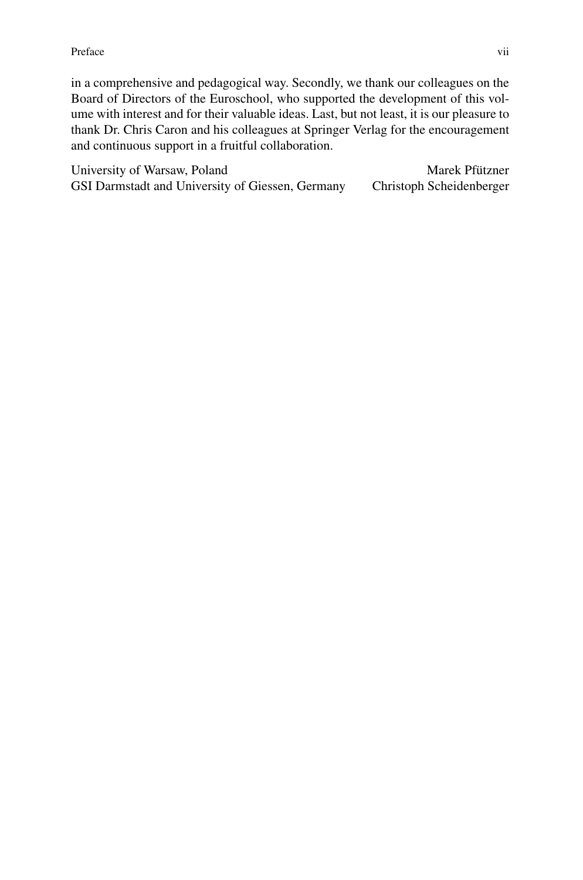Preface viii

in a comprehensive and pedagogical way. Secondly, we thank our colleagues on the Board of Directors of the Euroschool, who supported the development of this volume with interest and for their valuable ideas. Last, but not least, it is our pleasure to thank Dr. Chris Caron and his colleagues at Springer Verlag for the encouragement and continuous support in a fruitful collaboration.

| University of Warsaw, Poland                     | Marek Pfützner           |
|--------------------------------------------------|--------------------------|
| GSI Darmstadt and University of Giessen, Germany | Christoph Scheidenberger |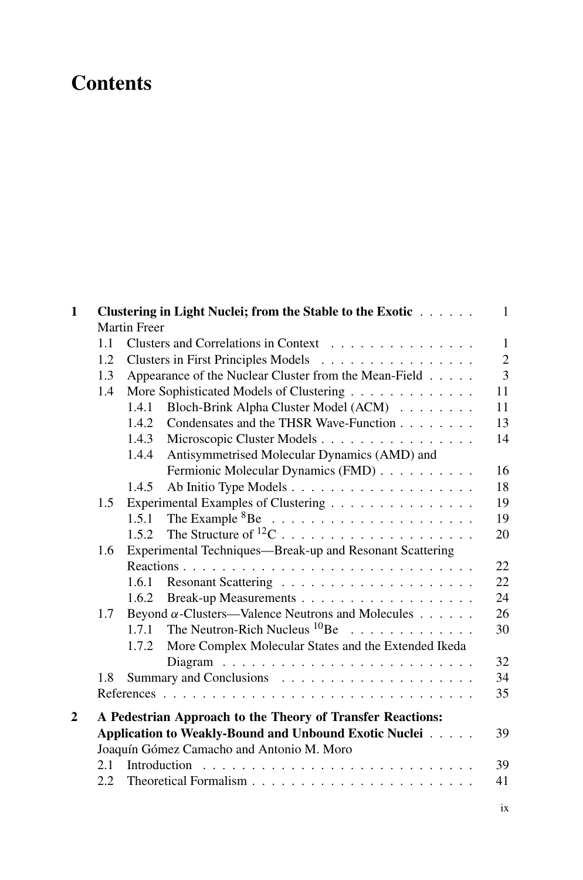## **Contents**

| $\mathbf{1}$   |                     |       | Clustering in Light Nuclei; from the Stable to the Exotic  | 1              |
|----------------|---------------------|-------|------------------------------------------------------------|----------------|
|                | <b>Martin Freer</b> |       |                                                            |                |
|                | 1.1                 |       | Clusters and Correlations in Context                       | $\mathbf{1}$   |
|                | 1.2                 |       | Clusters in First Principles Models                        | $\overline{2}$ |
|                | 1.3                 |       | Appearance of the Nuclear Cluster from the Mean-Field      | $\overline{3}$ |
|                | 1.4                 |       | More Sophisticated Models of Clustering                    | 11             |
|                |                     | 1.4.1 | Bloch-Brink Alpha Cluster Model (ACM)                      | 11             |
|                |                     | 1.4.2 | Condensates and the THSR Wave-Function                     | 13             |
|                |                     | 1.4.3 | Microscopic Cluster Models                                 | 14             |
|                |                     | 1.4.4 | Antisymmetrised Molecular Dynamics (AMD) and               |                |
|                |                     |       | Fermionic Molecular Dynamics (FMD)                         | 16             |
|                |                     | 1.4.5 |                                                            | 18             |
|                | 1.5                 |       | Experimental Examples of Clustering                        | 19             |
|                |                     | 1.5.1 |                                                            | 19             |
|                |                     | 1.5.2 |                                                            | 20             |
|                | 1.6                 |       | Experimental Techniques—Break-up and Resonant Scattering   |                |
|                |                     |       |                                                            | 22             |
|                |                     | 1.6.1 |                                                            | 22             |
|                |                     | 1.6.2 |                                                            | 24             |
|                | 1.7                 |       | Beyond $\alpha$ -Clusters—Valence Neutrons and Molecules   | 26             |
|                |                     | 1.7.1 | The Neutron-Rich Nucleus $^{10}$ Be                        | 30             |
|                |                     | 1.7.2 | More Complex Molecular States and the Extended Ikeda       |                |
|                |                     |       |                                                            | 32             |
|                | 1.8                 |       |                                                            | 34             |
|                |                     |       |                                                            | 35             |
| $\overline{2}$ |                     |       | A Pedestrian Approach to the Theory of Transfer Reactions: |                |
|                |                     |       | Application to Weakly-Bound and Unbound Exotic Nuclei      | 39             |
|                |                     |       | Joaquín Gómez Camacho and Antonio M. Moro                  |                |
|                | 2.1                 |       |                                                            | 39             |
|                | 2.2                 |       |                                                            | 41             |
|                |                     |       |                                                            |                |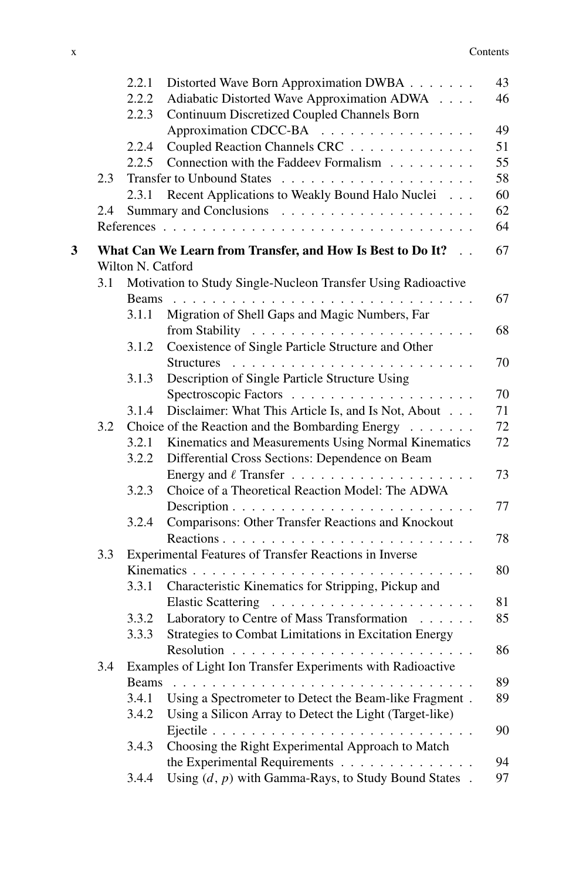|   |     | 2.2.1             | Distorted Wave Born Approximation DWBA                        | 43 |
|---|-----|-------------------|---------------------------------------------------------------|----|
|   |     | 2.2.2             | Adiabatic Distorted Wave Approximation ADWA                   | 46 |
|   |     | 2.2.3             | <b>Continuum Discretized Coupled Channels Born</b>            |    |
|   |     |                   | Approximation CDCC-BA                                         | 49 |
|   |     | 2.2.4             | Coupled Reaction Channels CRC                                 | 51 |
|   |     | 2.2.5             | Connection with the Faddeev Formalism                         | 55 |
|   | 2.3 |                   |                                                               | 58 |
|   |     | 2.3.1             | Recent Applications to Weakly Bound Halo Nuclei               | 60 |
|   | 2.4 |                   |                                                               | 62 |
|   |     |                   |                                                               | 64 |
| 3 |     |                   | What Can We Learn from Transfer, and How Is Best to Do It?    | 67 |
|   |     | Wilton N. Catford |                                                               |    |
|   | 3.1 |                   | Motivation to Study Single-Nucleon Transfer Using Radioactive |    |
|   |     | Beams             |                                                               | 67 |
|   |     | 3.1.1             | Migration of Shell Gaps and Magic Numbers, Far                |    |
|   |     |                   |                                                               | 68 |
|   |     | 3.1.2             | Coexistence of Single Particle Structure and Other            |    |
|   |     |                   |                                                               | 70 |
|   |     | 3.1.3             | Description of Single Particle Structure Using                |    |
|   |     |                   |                                                               | 70 |
|   |     | 3.1.4             | Disclaimer: What This Article Is, and Is Not, About           | 71 |
|   | 3.2 |                   | Choice of the Reaction and the Bombarding Energy              | 72 |
|   |     | 3.2.1             | Kinematics and Measurements Using Normal Kinematics           | 72 |
|   |     | 3.2.2             | Differential Cross Sections: Dependence on Beam               |    |
|   |     |                   |                                                               | 73 |
|   |     | 3.2.3             | Choice of a Theoretical Reaction Model: The ADWA              |    |
|   |     |                   |                                                               | 77 |
|   |     | 3.2.4             | Comparisons: Other Transfer Reactions and Knockout            |    |
|   |     |                   |                                                               | 78 |
|   | 3.3 |                   | Experimental Features of Transfer Reactions in Inverse        |    |
|   |     |                   |                                                               | 80 |
|   |     | 3.3.1             | Characteristic Kinematics for Stripping, Pickup and           |    |
|   |     |                   |                                                               | 81 |
|   |     | 3.3.2             | Laboratory to Centre of Mass Transformation                   | 85 |
|   |     | 3.3.3             | Strategies to Combat Limitations in Excitation Energy         |    |
|   |     |                   |                                                               | 86 |
|   | 3.4 |                   | Examples of Light Ion Transfer Experiments with Radioactive   |    |
|   |     |                   |                                                               | 89 |
|   |     | 3.4.1             | Using a Spectrometer to Detect the Beam-like Fragment.        | 89 |
|   |     | 3.4.2             | Using a Silicon Array to Detect the Light (Target-like)       |    |
|   |     |                   |                                                               | 90 |
|   |     | 3.4.3             | Choosing the Right Experimental Approach to Match             |    |
|   |     |                   | the Experimental Requirements                                 | 94 |
|   |     | 3.4.4             | Using $(d, p)$ with Gamma-Rays, to Study Bound States.        | 97 |
|   |     |                   |                                                               |    |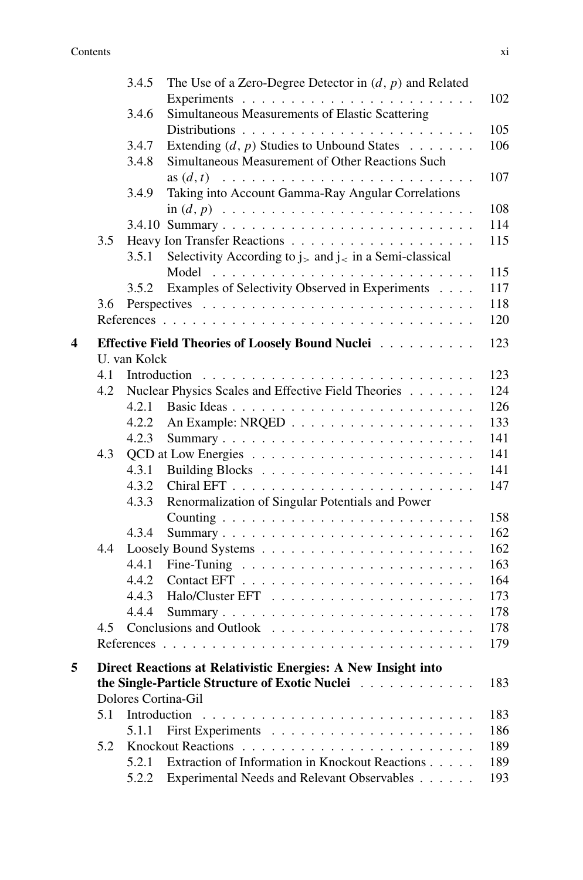### Contents xi

|    |     | 3.4.5                                                                 | The Use of a Zero-Degree Detector in $(d, p)$ and Related     |     |  |
|----|-----|-----------------------------------------------------------------------|---------------------------------------------------------------|-----|--|
|    |     |                                                                       |                                                               | 102 |  |
|    |     | 3.4.6                                                                 | Simultaneous Measurements of Elastic Scattering               |     |  |
|    |     |                                                                       |                                                               | 105 |  |
|    |     | 3.4.7                                                                 | Extending $(d, p)$ Studies to Unbound States                  | 106 |  |
|    |     | 3.4.8                                                                 | Simultaneous Measurement of Other Reactions Such              |     |  |
|    |     |                                                                       |                                                               | 107 |  |
|    |     | 3.4.9                                                                 | Taking into Account Gamma-Ray Angular Correlations            |     |  |
|    |     |                                                                       |                                                               | 108 |  |
|    |     |                                                                       |                                                               | 114 |  |
|    | 3.5 |                                                                       |                                                               | 115 |  |
|    |     | 3.5.1                                                                 | Selectivity According to $j_$ and $j_<$ in a Semi-classical   |     |  |
|    |     |                                                                       |                                                               | 115 |  |
|    |     | 3.5.2                                                                 | Examples of Selectivity Observed in Experiments               | 117 |  |
|    | 3.6 |                                                                       |                                                               | 118 |  |
|    |     |                                                                       |                                                               | 120 |  |
| 4  |     |                                                                       | Effective Field Theories of Loosely Bound Nuclei              | 123 |  |
|    |     | U. van Kolck                                                          |                                                               |     |  |
|    | 4.1 |                                                                       |                                                               | 123 |  |
|    | 4.2 |                                                                       | Nuclear Physics Scales and Effective Field Theories           | 124 |  |
|    |     | 4.2.1                                                                 |                                                               | 126 |  |
|    |     | 4.2.2                                                                 |                                                               | 133 |  |
|    |     | 4.2.3                                                                 |                                                               | 141 |  |
|    | 4.3 |                                                                       |                                                               | 141 |  |
|    |     | 4.3.1                                                                 |                                                               | 141 |  |
|    |     | 4.3.2                                                                 |                                                               | 147 |  |
|    |     | 4.3.3                                                                 | Renormalization of Singular Potentials and Power              |     |  |
|    |     |                                                                       |                                                               | 158 |  |
|    |     | 4.3.4                                                                 |                                                               | 162 |  |
|    | 4.4 |                                                                       |                                                               | 162 |  |
|    |     | 4.4.1                                                                 |                                                               | 163 |  |
|    |     | 4.4.2                                                                 |                                                               | 164 |  |
|    |     | 4.4.3                                                                 |                                                               | 173 |  |
|    |     | 4.4.4                                                                 |                                                               | 178 |  |
|    | 4.5 |                                                                       |                                                               | 178 |  |
|    |     |                                                                       |                                                               | 179 |  |
| 5. |     |                                                                       | Direct Reactions at Relativistic Energies: A New Insight into |     |  |
|    |     |                                                                       |                                                               | 183 |  |
|    |     | the Single-Particle Structure of Exotic Nuclei<br>Dolores Cortina-Gil |                                                               |     |  |
|    | 5.1 |                                                                       | Introduction                                                  | 183 |  |
|    |     | 5.1.1                                                                 |                                                               | 186 |  |
|    | 5.2 |                                                                       |                                                               | 189 |  |
|    |     | 5.2.1                                                                 | Extraction of Information in Knockout Reactions               | 189 |  |
|    |     |                                                                       |                                                               | 193 |  |
|    |     | 5.2.2                                                                 | Experimental Needs and Relevant Observables                   |     |  |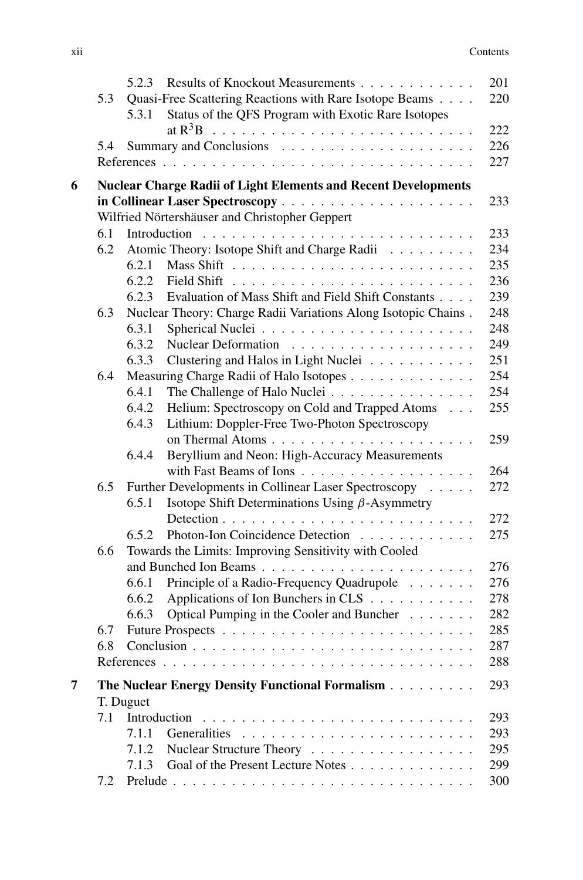|   |     | 5.2.3        | Results of Knockout Measurements                                      | 201 |  |
|---|-----|--------------|-----------------------------------------------------------------------|-----|--|
|   | 5.3 |              | Quasi-Free Scattering Reactions with Rare Isotope Beams               | 220 |  |
|   |     | 5.3.1        | Status of the QFS Program with Exotic Rare Isotopes                   |     |  |
|   |     |              |                                                                       | 222 |  |
|   | 5.4 |              |                                                                       | 226 |  |
|   |     |              |                                                                       | 227 |  |
| 6 |     |              | <b>Nuclear Charge Radii of Light Elements and Recent Developments</b> |     |  |
|   |     |              |                                                                       | 233 |  |
|   |     |              | Wilfried Nörtershäuser and Christopher Geppert                        |     |  |
|   | 6.1 |              |                                                                       | 233 |  |
|   | 6.2 |              | Atomic Theory: Isotope Shift and Charge Radii                         | 234 |  |
|   |     | 6.2.1        |                                                                       | 235 |  |
|   |     | 6.2.2        |                                                                       | 236 |  |
|   |     | 6.2.3        | Evaluation of Mass Shift and Field Shift Constants                    | 239 |  |
|   | 6.3 |              | Nuclear Theory: Charge Radii Variations Along Isotopic Chains.        | 248 |  |
|   |     | 6.3.1        |                                                                       | 248 |  |
|   |     | 6.3.2        |                                                                       | 249 |  |
|   |     | 6.3.3        | Clustering and Halos in Light Nuclei                                  | 251 |  |
|   | 6.4 |              | Measuring Charge Radii of Halo Isotopes                               | 254 |  |
|   |     | 6.4.1        | The Challenge of Halo Nuclei                                          | 254 |  |
|   |     | 6.4.2        | Helium: Spectroscopy on Cold and Trapped Atoms                        | 255 |  |
|   |     | 6.4.3        | Lithium: Doppler-Free Two-Photon Spectroscopy                         |     |  |
|   |     |              |                                                                       | 259 |  |
|   |     | 6.4.4        | Beryllium and Neon: High-Accuracy Measurements                        |     |  |
|   |     |              |                                                                       | 264 |  |
|   | 6.5 |              | Further Developments in Collinear Laser Spectroscopy                  | 272 |  |
|   |     | 6.5.1        | Isotope Shift Determinations Using $\beta$ -Asymmetry                 |     |  |
|   |     |              |                                                                       | 272 |  |
|   |     | 6.5.2        | Photon-Ion Coincidence Detection                                      | 275 |  |
|   | 6.6 |              | Towards the Limits: Improving Sensitivity with Cooled                 |     |  |
|   |     |              | and Bunched Ion Beams                                                 | 276 |  |
|   |     | 6.6.1        | Principle of a Radio-Frequency Quadrupole                             | 276 |  |
|   |     | 6.6.2        | Applications of Ion Bunchers in CLS                                   | 278 |  |
|   |     | 6.6.3        | Optical Pumping in the Cooler and Buncher                             | 282 |  |
|   | 6.7 |              |                                                                       | 285 |  |
|   | 6.8 |              |                                                                       | 287 |  |
|   |     |              |                                                                       | 288 |  |
| 7 |     |              | The Nuclear Energy Density Functional Formalism                       | 293 |  |
|   |     | T. Duguet    |                                                                       |     |  |
|   | 7.1 | Introduction |                                                                       | 293 |  |
|   |     | 7.1.1        |                                                                       | 293 |  |
|   |     | 7.1.2        | Nuclear Structure Theory                                              | 295 |  |
|   |     | 7.1.3        | Goal of the Present Lecture Notes                                     | 299 |  |
|   | 7.2 |              |                                                                       | 300 |  |